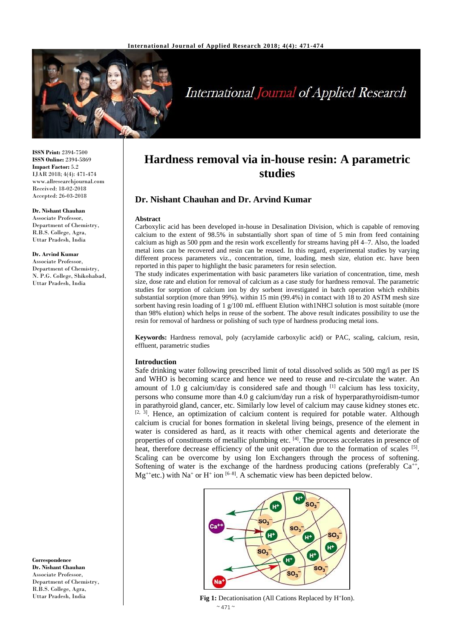

# **International Journal of Applied Research**

**ISSN Print:** 2394-7500 **ISSN Online:** 2394-5869 **Impact Factor:** 5.2 IJAR 2018; 4(4): 471-474 www.allresearchjournal.com Received: 18-02-2018 Accepted: 26-03-2018

#### **Dr. Nishant Chauhan**

Associate Professor, Department of Chemistry, R.B.S. College, Agra, Uttar Pradesh, India

#### **Dr. Arvind Kumar**

Associate Professor, Department of Chemistry, N. P.G. College, Shikohabad, Uttar Pradesh, India

**Correspondence Dr. Nishant Chauhan** Associate Professor, Department of Chemistry, R.B.S. College, Agra, Uttar Pradesh, India

# **Hardness removal via in-house resin: A parametric studies**

# **Dr. Nishant Chauhan and Dr. Arvind Kumar**

#### **Abstract**

Carboxylic acid has been developed in-house in Desalination Division, which is capable of removing calcium to the extent of 98.5% in substantially short span of time of 5 min from feed containing calcium as high as 500 ppm and the resin work excellently for streams having pH 4–7. Also, the loaded metal ions can be recovered and resin can be reused. In this regard, experimental studies by varying different process parameters viz., concentration, time, loading, mesh size, elution etc. have been reported in this paper to highlight the basic parameters for resin selection.

The study indicates experimentation with basic parameters like variation of concentration, time, mesh size, dose rate and elution for removal of calcium as a case study for hardness removal. The parametric studies for sorption of calcium ion by dry sorbent investigated in batch operation which exhibits substantial sorption (more than 99%). within 15 min (99.4%) in contact with 18 to 20 ASTM mesh size sorbent having resin loading of 1 g/100 mL effluent Elution with1NHCl solution is most suitable (more than 98% elution) which helps in reuse of the sorbent. The above result indicates possibility to use the resin for removal of hardness or polishing of such type of hardness producing metal ions.

**Keywords:** Hardness removal, poly (acrylamide carboxylic acid) or PAC, scaling, calcium, resin, effluent, parametric studies

#### **Introduction**

Safe drinking water following prescribed limit of total dissolved solids as 500 mg/l as per IS and WHO is becoming scarce and hence we need to reuse and re-circulate the water. An amount of 1.0 g calcium/day is considered safe and though  $^{[1]}$  calcium has less toxicity, persons who consume more than 4.0 g calcium/day run a risk of hyperparathyroidism-tumor in parathyroid gland, cancer, etc. Similarly low level of calcium may cause kidney stones etc.  $[2, 3]$ . Hence, an optimization of calcium content is required for potable water. Although calcium is crucial for bones formation in skeletal living beings, presence of the element in water is considered as hard, as it reacts with other chemical agents and deteriorate the properties of constituents of metallic plumbing etc. [4]. The process accelerates in presence of heat, therefore decrease efficiency of the unit operation due to the formation of scales [5]. Scaling can be overcome by using Ion Exchangers through the process of softening. Softening of water is the exchange of the hardness producing cations (preferably  $Ca^{++}$ ,  $Mg^{+}$ etc.) with Na<sup>+</sup> or H<sup>+</sup> ion <sup>[6-8]</sup>. A schematic view has been depicted below.



 $\sim$  471  $\sim$ Fig 1: Decationisation (All Cations Replaced by H<sup>+</sup>Ion).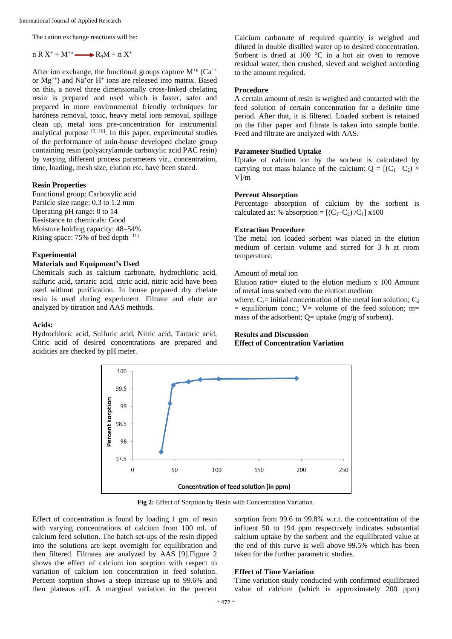The cation exchange reactions will be:

n  $R^X^+ + M^{+n}$   $\longrightarrow R_nM + n X^+$ 

After ion exchange, the functional groups capture  $M^{n}$  (Ca<sup>++</sup> or Mg++) and Na<sup>+</sup>or H<sup>+</sup> ions are released into matrix. Based on this, a novel three dimensionally cross-linked chelating resin is prepared and used which is faster, safer and prepared in more environmental friendly techniques for hardness removal, toxic, heavy metal ions removal, spillage clean up, metal ions pre-concentration for instrumental analytical purpose  $[9, 10]$ . In this paper, experimental studies of the performance of anin-house developed chelate group containing resin (polyacrylamide carboxylic acid PAC resin) by varying different process parameters *viz*., concentration, time, loading, mesh size, elution etc. have been stated.

#### **Resin Properties**

Functional group: Carboxylic acid Particle size range: 0.3 to 1.2 mm Operating pH range: 0 to 14 Resistance to chemicals: Good Moisture holding capacity: 48–54% Rising space:  $75\%$  of bed depth  $^{[11]}$ 

#### **Experimental**

# **Materials and Equipment's Used**

Chemicals such as calcium carbonate, hydrochloric acid, sulfuric acid, tartaric acid, citric acid, nitric acid have been used without purification. In house prepared dry chelate resin is used during experiment. Filtrate and elute are analyzed by titration and AAS methods.

#### **Acids:**

Hydrochloric acid, Sulfuric acid, Nitric acid, Tartaric acid, Citric acid of desired concentrations are prepared and acidities are checked by pH meter.

Calcium carbonate of required quantity is weighed and diluted in double distilled water up to desired concentration. Sorbent is dried at 100 °C in a hot air oven to remove residual water, then crushed, sieved and weighed according to the amount required.

## **Procedure**

A certain amount of resin is weighed and contacted with the feed solution of certain concentration for a definite time period. After that, it is filtered. Loaded sorbent is retained on the filter paper and filtrate is taken into sample bottle. Feed and filtrate are analyzed with AAS.

#### **Parameter Studied Uptake**

Uptake of calcium ion by the sorbent is calculated by carrying out mass balance of the calcium:  $Q = [(C_1 - C_2) \times$ V]/m

### **Percent Absorption**

Percentage absorption of calcium by the sorbent is calculated as: % absorption =  $[(C_1-C_2)/C_1]$  x100

#### **Extraction Procedure**

The metal ion loaded sorbent was placed in the elution medium of certain volume and stirred for 3 h at room temperature.

#### Amount of metal ion

Elution ratio= eluted to the elution medium  $x$  100 Amount of metal ions sorbed onto the elution medium

where,  $C_1$ = initial concentration of the metal ion solution;  $C_2$  $=$  equilibrium conc.; V= volume of the feed solution; m= mass of the adsorbent;  $Q=$  uptake (mg/g of sorbent).

# **Results and Discussion Effect of Concentration Variation**



**Fig 2:** Effect of Sorption by Resin with Concentration Variation.

Effect of concentration is found by loading 1 gm. of resin with varying concentrations of calcium from 100 ml. of calcium feed solution. The batch set-ups of the resin dipped into the solutions are kept overnight for equilibration and then filtered. Filtrates are analyzed by AAS [9].Figure 2 shows the effect of calcium ion sorption with respect to variation of calcium ion concentration in feed solution. Percent sorption shows a steep increase up to 99.6% and then plateaus off. A marginal variation in the percent

sorption from 99.6 to 99.8% w.r.t. the concentration of the influent 50 to 194 ppm respectively indicates substantial calcium uptake by the sorbent and the equilibrated value at the end of this curve is well above 99.5% which has been taken for the further parametric studies.

## **Effect of Time Variation**

Time variation study conducted with confirmed equilibrated value of calcium (which is approximately 200 ppm)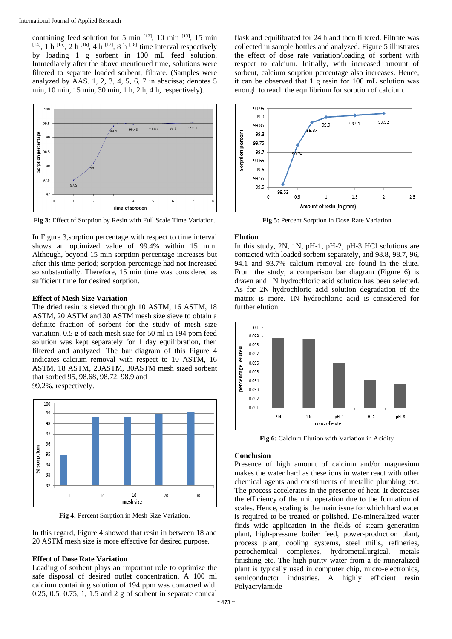containing feed solution for 5 min  $[12]$ , 10 min  $[13]$ , 15 min  $[14]$ , 1 h  $[15]$ , 2 h  $[16]$ , 4 h  $[17]$ , 8 h  $[18]$  time interval respectively by loading 1 g sorbent in 100 mL feed solution. Immediately after the above mentioned time, solutions were filtered to separate loaded sorbent, filtrate. (Samples were analyzed by AAS. 1, 2, 3, 4, 5, 6, 7 in abscissa; denotes 5 min, 10 min, 15 min, 30 min, 1 h, 2 h, 4 h, respectively).



**Fig 3:** Effect of Sorption by Resin with Full Scale Time Variation.

In Figure 3,sorption percentage with respect to time interval shows an optimized value of 99.4% within 15 min. Although, beyond 15 min sorption percentage increases but after this time period; sorption percentage had not increased so substantially. Therefore, 15 min time was considered as sufficient time for desired sorption.

## **Effect of Mesh Size Variation**

The dried resin is sieved through 10 ASTM, 16 ASTM, 18 ASTM, 20 ASTM and 30 ASTM mesh size sieve to obtain a definite fraction of sorbent for the study of mesh size variation. 0.5 g of each mesh size for 50 ml in 194 ppm feed solution was kept separately for 1 day equilibration, then filtered and analyzed. The bar diagram of this Figure 4 indicates calcium removal with respect to 10 ASTM, 16 ASTM, 18 ASTM, 20ASTM, 30ASTM mesh sized sorbent that sorbed 95, 98.68, 98.72, 98.9 and 99.2%, respectively.



**Fig 4:** Percent Sorption in Mesh Size Variation.

In this regard, Figure 4 showed that resin in between 18 and 20 ASTM mesh size is more effective for desired purpose.

#### **Effect of Dose Rate Variation**

Loading of sorbent plays an important role to optimize the safe disposal of desired outlet concentration. A 100 ml calcium containing solution of 194 ppm was contacted with 0.25, 0.5, 0.75, 1, 1.5 and 2 g of sorbent in separate conical

flask and equilibrated for 24 h and then filtered. Filtrate was collected in sample bottles and analyzed. Figure 5 illustrates the effect of dose rate variation/loading of sorbent with respect to calcium. Initially, with increased amount of sorbent, calcium sorption percentage also increases. Hence, it can be observed that 1 g resin for 100 mL solution was enough to reach the equilibrium for sorption of calcium.



**Fig 5:** Percent Sorption in Dose Rate Variation

#### **Elution**

In this study, 2N, 1N, pH-1, pH-2, pH-3 HCl solutions are contacted with loaded sorbent separately, and 98.8, 98.7, 96, 94.1 and 93.7% calcium removal are found in the elute. From the study, a comparison bar diagram (Figure 6) is drawn and 1N hydrochloric acid solution has been selected. As for 2N hydrochloric acid solution degradation of the matrix is more. 1N hydrochloric acid is considered for further elution.



**Fig 6:** Calcium Elution with Variation in Acidity

#### **Conclusion**

Presence of high amount of calcium and/or magnesium makes the water hard as these ions in water react with other chemical agents and constituents of metallic plumbing etc. The process accelerates in the presence of heat. It decreases the efficiency of the unit operation due to the formation of scales. Hence, scaling is the main issue for which hard water is required to be treated or polished. De-mineralized water finds wide application in the fields of steam generation plant, high-pressure boiler feed, power-production plant, process plant, cooling systems, steel mills, refineries, petrochemical complexes, hydrometallurgical, metals finishing etc. The high-purity water from a de-mineralized plant is typically used in computer chip, micro-electronics, semiconductor industries. A highly efficient resin Polyacrylamide